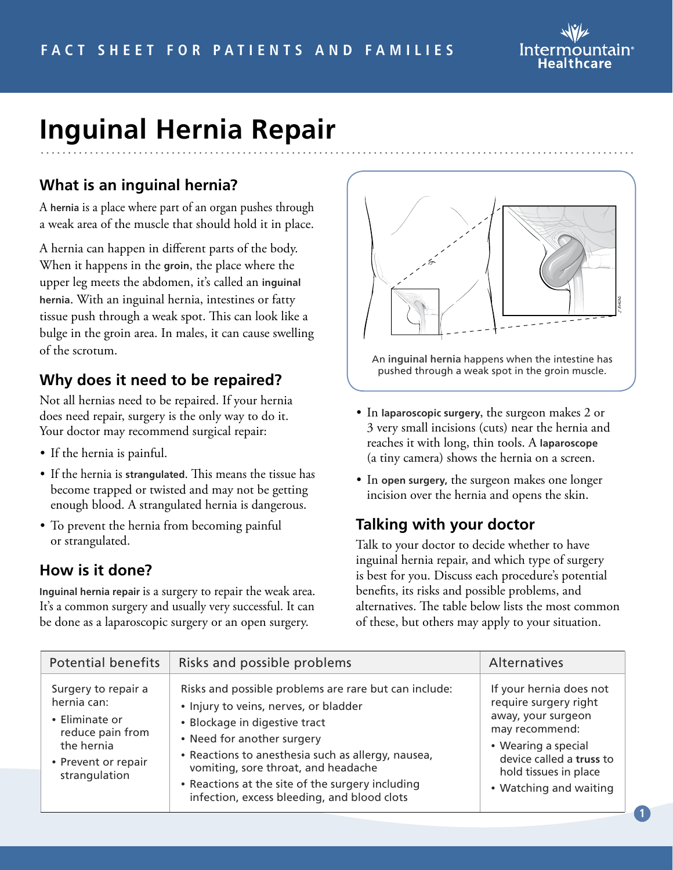

# **Inguinal Hernia Repair**

# **What is an inguinal hernia?**

A **hernia** is a place where part of an organ pushes through a weak area of the muscle that should hold it in place.

A hernia can happen in different parts of the body. When it happens in the **groin**, the place where the upper leg meets the abdomen, it's called an **inguinal hernia**. With an inguinal hernia, intestines or fatty tissue push through a weak spot. This can look like a bulge in the groin area. In males, it can cause swelling of the scrotum.

## **Why does it need to be repaired?**

Not all hernias need to be repaired. If your hernia does need repair, surgery is the only way to do it. Your doctor may recommend surgical repair:

- If the hernia is painful.
- If the hernia is **strangulated**. This means the tissue has become trapped or twisted and may not be getting enough blood. A strangulated hernia is dangerous.
- To prevent the hernia from becoming painful or strangulated.

#### **How is it done?**

**Inguinal hernia repair** is a surgery to repair the weak area. It's a common surgery and usually very successful. It can be done as a laparoscopic surgery or an open surgery.



An **inguinal hernia** happens when the intestine has pushed through a weak spot in the groin muscle.

- In **laparoscopic surgery**, the surgeon makes 2 or 3 very small incisions (cuts) near the hernia and reaches it with long, thin tools. A **laparoscope**  (a tiny camera) shows the hernia on a screen.
- In **open surgery,** the surgeon makes one longer incision over the hernia and opens the skin.

## **Talking with your doctor**

Talk to your doctor to decide whether to have inguinal hernia repair, and which type of surgery is best for you. Discuss each procedure's potential benefits, its risks and possible problems, and alternatives. The table below lists the most common of these, but others may apply to your situation.

| <b>Potential benefits</b>                                                                                                      | Risks and possible problems                                                                                                                                                                                                                                                                                                                                   | Alternatives                                                                                                                                                                                   |
|--------------------------------------------------------------------------------------------------------------------------------|---------------------------------------------------------------------------------------------------------------------------------------------------------------------------------------------------------------------------------------------------------------------------------------------------------------------------------------------------------------|------------------------------------------------------------------------------------------------------------------------------------------------------------------------------------------------|
| Surgery to repair a<br>hernia can:<br>• Eliminate or<br>reduce pain from<br>the hernia<br>• Prevent or repair<br>strangulation | Risks and possible problems are rare but can include:<br>· Injury to veins, nerves, or bladder<br>• Blockage in digestive tract<br>• Need for another surgery<br>• Reactions to anesthesia such as allergy, nausea,<br>vomiting, sore throat, and headache<br>• Reactions at the site of the surgery including<br>infection, excess bleeding, and blood clots | If your hernia does not<br>require surgery right<br>away, your surgeon<br>may recommend:<br>• Wearing a special<br>device called a truss to<br>hold tissues in place<br>• Watching and waiting |